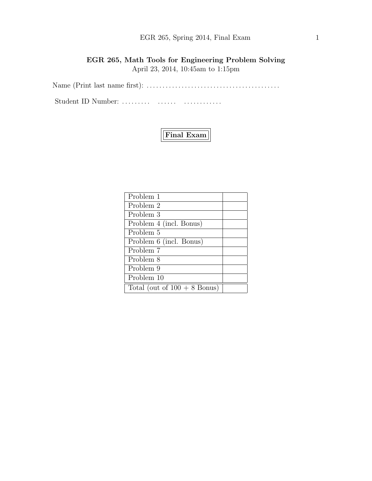# EGR 265, Spring 2014, Final Exam 1

# EGR 265, Math Tools for Engineering Problem Solving April 23, 2014, 10:45am to 1:15pm

Name (Print last name first): . . . . . . . . . . . . . . . . . . . . . . . . . . . . . . . . . . . . . . . . . .

Student ID Number: . . . . . . . . . . . . . . . . . . . . . . . . . . .



| Problem 1                      |  |
|--------------------------------|--|
| Problem 2                      |  |
| Problem 3                      |  |
| Problem 4 (incl. Bonus)        |  |
| Problem 5                      |  |
| Problem 6 (incl. Bonus)        |  |
| Problem 7                      |  |
| Problem 8                      |  |
| Problem 9                      |  |
| Problem 10                     |  |
| Total (out of $100 + 8$ Bonus) |  |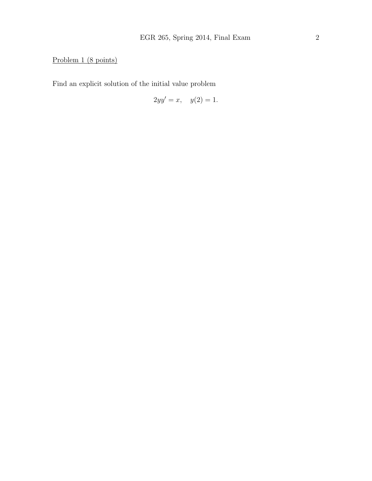# Problem 1 (8 points)

Find an explicit solution of the initial value problem

$$
2yy' = x, \quad y(2) = 1.
$$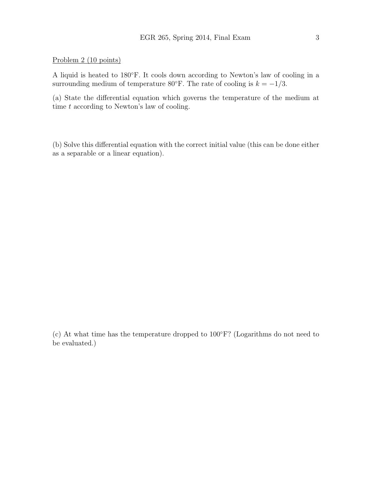#### Problem 2 (10 points)

A liquid is heated to 180◦F. It cools down according to Newton's law of cooling in a surrounding medium of temperature 80°F. The rate of cooling is  $k = -1/3$ .

(a) State the differential equation which governs the temperature of the medium at time  $t$  according to Newton's law of cooling.

(b) Solve this differential equation with the correct initial value (this can be done either as a separable or a linear equation).

(c) At what time has the temperature dropped to 100◦F? (Logarithms do not need to be evaluated.)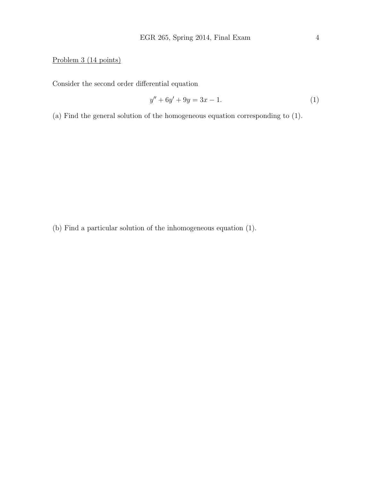Problem 3 (14 points)

Consider the second order differential equation

$$
y'' + 6y' + 9y = 3x - 1.
$$
 (1)

(a) Find the general solution of the homogeneous equation corresponding to (1).

(b) Find a particular solution of the inhomogeneous equation (1).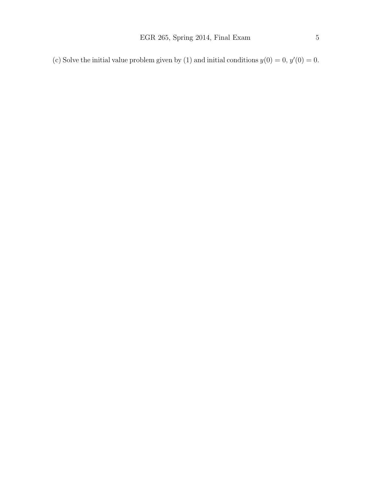(c) Solve the initial value problem given by (1) and initial conditions  $y(0) = 0, y'(0) = 0$ .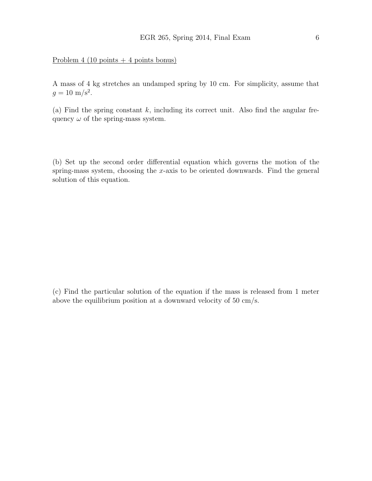#### Problem 4 (10 points  $+ 4$  points bonus)

A mass of 4 kg stretches an undamped spring by 10 cm. For simplicity, assume that  $g = 10 \text{ m/s}^2$ .

(a) Find the spring constant  $k$ , including its correct unit. Also find the angular frequency  $\omega$  of the spring-mass system.

(b) Set up the second order differential equation which governs the motion of the spring-mass system, choosing the x-axis to be oriented downwards. Find the general solution of this equation.

(c) Find the particular solution of the equation if the mass is released from 1 meter above the equilibrium position at a downward velocity of 50 cm/s.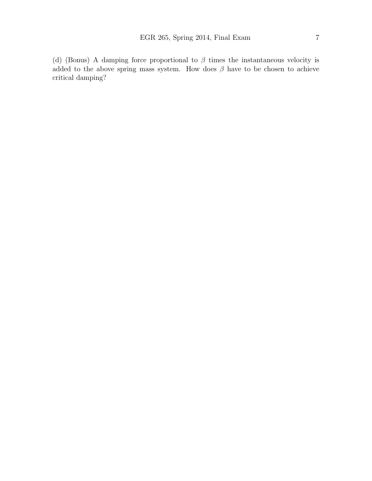(d) (Bonus) A damping force proportional to  $\beta$  times the instantaneous velocity is added to the above spring mass system. How does  $\beta$  have to be chosen to achieve critical damping?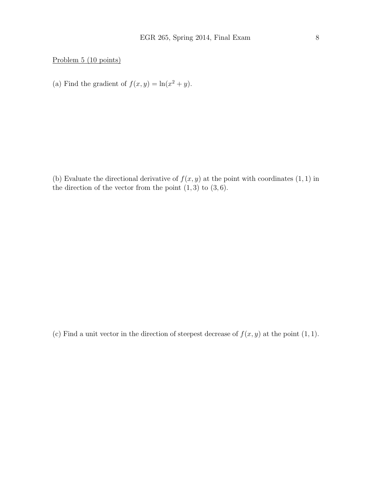Problem 5 (10 points)

(a) Find the gradient of  $f(x, y) = \ln(x^2 + y)$ .

(b) Evaluate the directional derivative of  $f(x, y)$  at the point with coordinates  $(1, 1)$  in the direction of the vector from the point  $(1, 3)$  to  $(3, 6)$ .

(c) Find a unit vector in the direction of steepest decrease of  $f(x, y)$  at the point  $(1, 1)$ .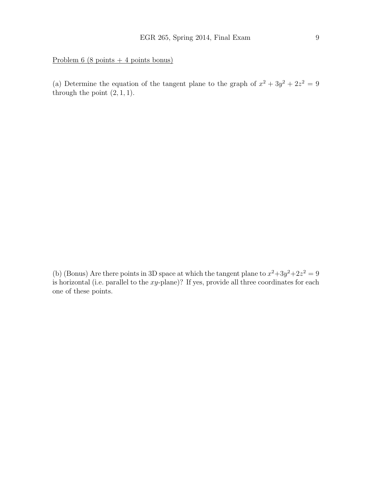Problem 6 (8 points + 4 points bonus)

(a) Determine the equation of the tangent plane to the graph of  $x^2 + 3y^2 + 2z^2 = 9$ through the point  $(2, 1, 1)$ .

(b) (Bonus) Are there points in 3D space at which the tangent plane to  $x^2+3y^2+2z^2=9$ is horizontal (i.e. parallel to the  $xy$ -plane)? If yes, provide all three coordinates for each one of these points.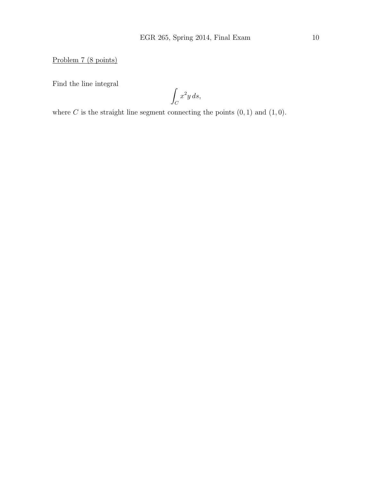Problem 7 (8 points)

Find the line integral

Z  $\mathcal{C}_{0}^{0}$  $x^2y\,ds,$ 

where  $C$  is the straight line segment connecting the points  $(0, 1)$  and  $(1, 0)$ .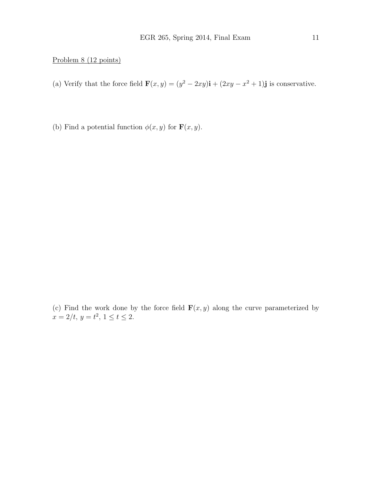#### Problem 8 (12 points)

- (a) Verify that the force field  $\mathbf{F}(x, y) = (y^2 2xy)\mathbf{i} + (2xy x^2 + 1)\mathbf{j}$  is conservative.
- (b) Find a potential function  $\phi(x, y)$  for  $\mathbf{F}(x, y)$ .

(c) Find the work done by the force field  $\mathbf{F}(x, y)$  along the curve parameterized by  $x = 2/t, y = t^2, 1 \le t \le 2.$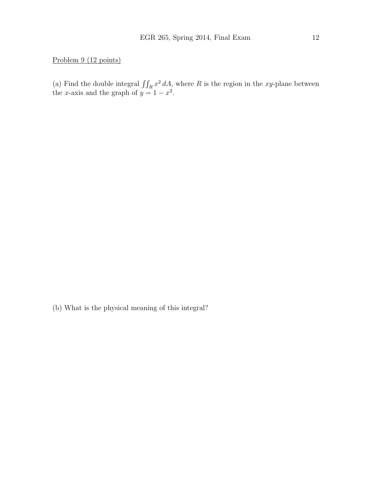## Problem 9 (12 points)

(a) Find the double integral  $\iint_R x^2 dA$ , where R is the region in the xy-plane between the x-axis and the graph of  $y = 1 - x^2$ .

(b) What is the physical meaning of this integral?